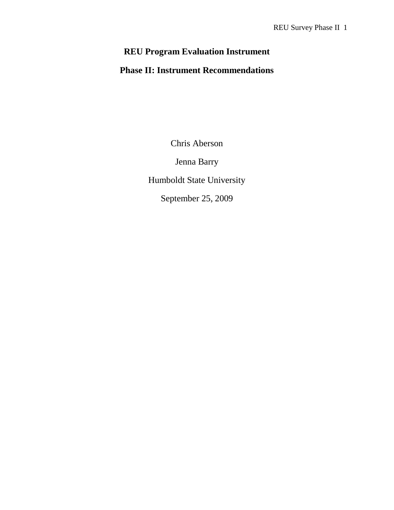# **REU Program Evaluation Instrument**

## **Phase II: Instrument Recommendations**

Chris Aberson

Jenna Barry

Humboldt State University

September 25, 2009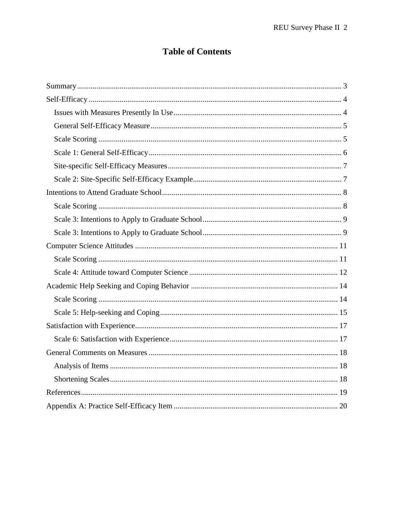## **Table of Contents**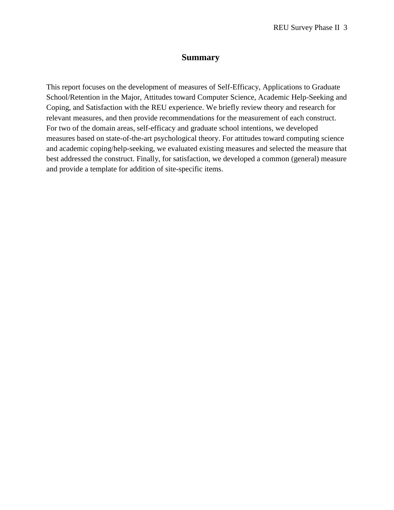### **Summary**

This report focuses on the development of measures of Self-Efficacy, Applications to Graduate School/Retention in the Major, Attitudes toward Computer Science, Academic Help-Seeking and Coping, and Satisfaction with the REU experience. We briefly review theory and research for relevant measures, and then provide recommendations for the measurement of each construct. For two of the domain areas, self-efficacy and graduate school intentions, we developed measures based on state-of-the-art psychological theory. For attitudes toward computing science and academic coping/help-seeking, we evaluated existing measures and selected the measure that best addressed the construct. Finally, for satisfaction, we developed a common (general) measure and provide a template for addition of site-specific items.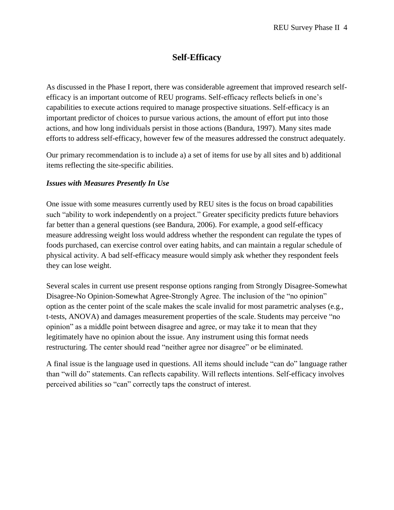## **Self-Efficacy**

As discussed in the Phase I report, there was considerable agreement that improved research selfefficacy is an important outcome of REU programs. Self-efficacy reflects beliefs in one's capabilities to execute actions required to manage prospective situations. Self-efficacy is an important predictor of choices to pursue various actions, the amount of effort put into those actions, and how long individuals persist in those actions (Bandura, 1997). Many sites made efforts to address self-efficacy, however few of the measures addressed the construct adequately.

Our primary recommendation is to include a) a set of items for use by all sites and b) additional items reflecting the site-specific abilities.

#### *Issues with Measures Presently In Use*

One issue with some measures currently used by REU sites is the focus on broad capabilities such "ability to work independently on a project." Greater specificity predicts future behaviors far better than a general questions (see Bandura, 2006). For example, a good self-efficacy measure addressing weight loss would address whether the respondent can regulate the types of foods purchased, can exercise control over eating habits, and can maintain a regular schedule of physical activity. A bad self-efficacy measure would simply ask whether they respondent feels they can lose weight.

Several scales in current use present response options ranging from Strongly Disagree-Somewhat Disagree-No Opinion-Somewhat Agree-Strongly Agree. The inclusion of the "no opinion" option as the center point of the scale makes the scale invalid for most parametric analyses (e.g., t-tests, ANOVA) and damages measurement properties of the scale. Students may perceive "no opinion" as a middle point between disagree and agree, or may take it to mean that they legitimately have no opinion about the issue. Any instrument using this format needs restructuring. The center should read "neither agree nor disagree" or be eliminated.

A final issue is the language used in questions. All items should include "can do" language rather than "will do" statements. Can reflects capability. Will reflects intentions. Self-efficacy involves perceived abilities so "can" correctly taps the construct of interest.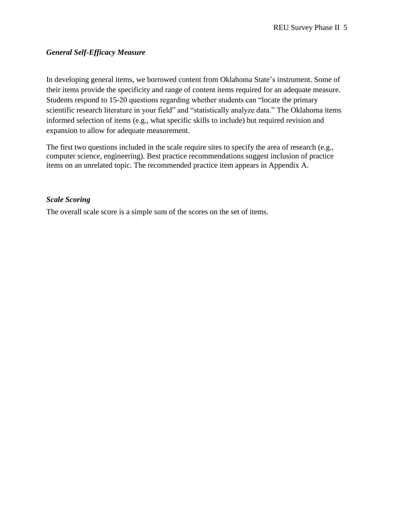#### *General Self-Efficacy Measure*

In developing general items, we borrowed content from Oklahoma State's instrument. Some of their items provide the specificity and range of content items required for an adequate measure. Students respond to 15-20 questions regarding whether students can "locate the primary scientific research literature in your field" and "statistically analyze data." The Oklahoma items informed selection of items (e.g., what specific skills to include) but required revision and expansion to allow for adequate measurement.

The first two questions included in the scale require sites to specify the area of research (e.g., computer science, engineering). Best practice recommendations suggest inclusion of practice items on an unrelated topic. The recommended practice item appears in Appendix A.

#### *Scale Scoring*

The overall scale score is a simple sum of the scores on the set of items.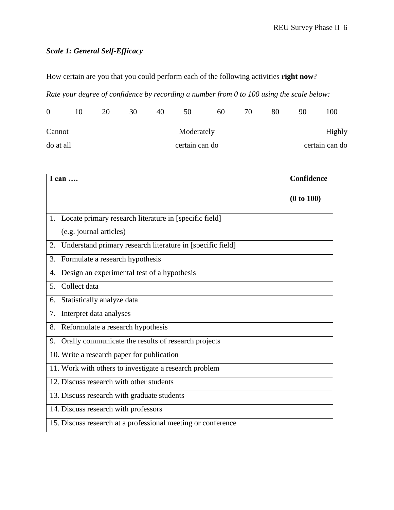## *Scale 1: General Self-Efficacy*

How certain are you that you could perform each of the following activities **right now**?

*Rate your degree of confidence by recording a number from 0 to 100 using the scale below:*

| $\Omega$  | 10 | 20 | 30 | 40 | 50             | 60 | 70 | 80 | 90 | 100            |
|-----------|----|----|----|----|----------------|----|----|----|----|----------------|
| Cannot    |    |    |    |    | Moderately     |    |    |    |    | Highly         |
| do at all |    |    |    |    | certain can do |    |    |    |    | certain can do |

| I can                                                            | <b>Confidence</b> |
|------------------------------------------------------------------|-------------------|
|                                                                  | (0 to 100)        |
| Locate primary research literature in [specific field]<br>1.     |                   |
| (e.g. journal articles)                                          |                   |
| Understand primary research literature in [specific field]<br>2. |                   |
| Formulate a research hypothesis<br>3.                            |                   |
| Design an experimental test of a hypothesis<br>4.                |                   |
| Collect data<br>5.                                               |                   |
| Statistically analyze data<br>6.                                 |                   |
| Interpret data analyses<br>7.                                    |                   |
| Reformulate a research hypothesis<br>8.                          |                   |
| Orally communicate the results of research projects<br>9.        |                   |
| 10. Write a research paper for publication                       |                   |
| 11. Work with others to investigate a research problem           |                   |
| 12. Discuss research with other students                         |                   |
| 13. Discuss research with graduate students                      |                   |
| 14. Discuss research with professors                             |                   |
| 15. Discuss research at a professional meeting or conference     |                   |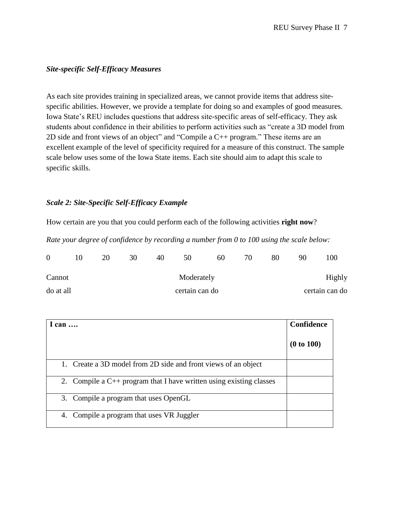#### *Site-specific Self-Efficacy Measures*

As each site provides training in specialized areas, we cannot provide items that address sitespecific abilities. However, we provide a template for doing so and examples of good measures. Iowa State's REU includes questions that address site-specific areas of self-efficacy. They ask students about confidence in their abilities to perform activities such as "create a 3D model from 2D side and front views of an object" and "Compile a C++ program." These items are an excellent example of the level of specificity required for a measure of this construct. The sample scale below uses some of the Iowa State items. Each site should aim to adapt this scale to specific skills.

#### *Scale 2: Site-Specific Self-Efficacy Example*

How certain are you that you could perform each of the following activities **right now**?

*Rate your degree of confidence by recording a number from 0 to 100 using the scale below:*

| $\Omega$  | 20 | 30 | 40 | 50             | 60 | 70 | 80 | 90 | 100            |
|-----------|----|----|----|----------------|----|----|----|----|----------------|
| Cannot    |    |    |    | Moderately     |    |    |    |    | Highly         |
| do at all |    |    |    | certain can do |    |    |    |    | certain can do |

| I can $\ldots$                                                           | <b>Confidence</b> |
|--------------------------------------------------------------------------|-------------------|
|                                                                          | (0 to 100)        |
| Create a 3D model from 2D side and front views of an object              |                   |
| 2. Compile a $C_{++}$ program that I have written using existing classes |                   |
| 3. Compile a program that uses OpenGL                                    |                   |
| 4. Compile a program that uses VR Juggler                                |                   |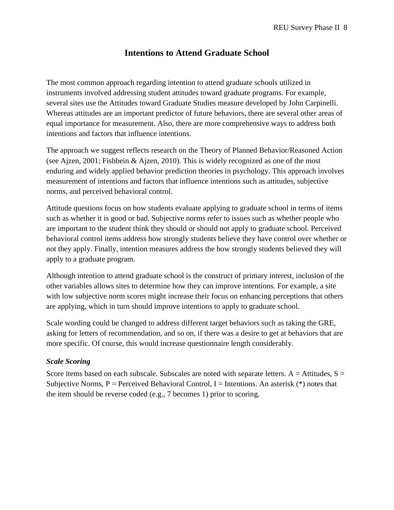## **Intentions to Attend Graduate School**

The most common approach regarding intention to attend graduate schools utilized in instruments involved addressing student attitudes toward graduate programs. For example, several sites use the Attitudes toward Graduate Studies measure developed by John Carpinelli. Whereas attitudes are an important predictor of future behaviors, there are several other areas of equal importance for measurement. Also, there are more comprehensive ways to address both intentions and factors that influence intentions.

The approach we suggest reflects research on the Theory of Planned Behavior/Reasoned Action (see Ajzen, 2001; Fishbein & Ajzen, 2010). This is widely recognized as one of the most enduring and widely applied behavior prediction theories in psychology. This approach involves measurement of intentions and factors that influence intentions such as attitudes, subjective norms, and perceived behavioral control.

Attitude questions focus on how students evaluate applying to graduate school in terms of items such as whether it is good or bad. Subjective norms refer to issues such as whether people who are important to the student think they should or should not apply to graduate school. Perceived behavioral control items address how strongly students believe they have control over whether or not they apply. Finally, intention measures address the how strongly students believed they will apply to a graduate program.

Although intention to attend graduate school is the construct of primary interest, inclusion of the other variables allows sites to determine how they can improve intentions. For example, a site with low subjective norm scores might increase their focus on enhancing perceptions that others are applying, which in turn should improve intentions to apply to graduate school.

Scale wording could be changed to address different target behaviors such as taking the GRE, asking for letters of recommendation, and so on, if there was a desire to get at behaviors that are more specific. Of course, this would increase questionnaire length considerably.

#### *Scale Scoring*

Score items based on each subscale. Subscales are noted with separate letters.  $A =$  Attitudes,  $S =$ Subjective Norms,  $P =$  Perceived Behavioral Control, I = Intentions. An asterisk  $(*)$  notes that the item should be reverse coded (e.g., 7 becomes 1) prior to scoring.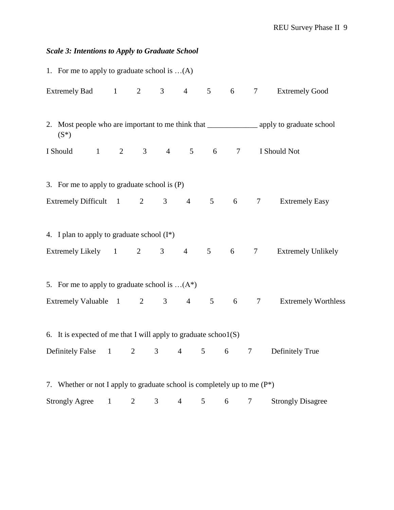## *Scale 3: Intentions to Apply to Graduate School*

| 1. For me to apply to graduate school is $\dots(A)$                         |   |   |                |   |   |                 |                                                                                                     |
|-----------------------------------------------------------------------------|---|---|----------------|---|---|-----------------|-----------------------------------------------------------------------------------------------------|
|                                                                             |   |   |                |   |   |                 | Extremely Bad 1 2 3 4 5 6 7 Extremely Good                                                          |
| $(S^*)$                                                                     |   |   |                |   |   |                 | 2. Most people who are important to me think that ________________________ apply to graduate school |
| I Should 1 2 3 4 5 6 7 I Should Not                                         |   |   |                |   |   |                 |                                                                                                     |
| 3. For me to apply to graduate school is (P)                                |   |   |                |   |   |                 |                                                                                                     |
|                                                                             |   |   |                |   |   |                 | Extremely Difficult 1 2 3 4 5 6 7 Extremely Easy                                                    |
| 4. I plan to apply to graduate school $(I^*)$                               |   |   |                |   |   |                 |                                                                                                     |
|                                                                             |   |   |                |   |   |                 | Extremely Likely 1 2 3 4 5 6 7 Extremely Unlikely                                                   |
| 5. For me to apply to graduate school is $(A^*)$                            |   |   |                |   |   |                 |                                                                                                     |
|                                                                             |   |   |                |   |   |                 | Extremely Valuable 1 2 3 4 5 6 7 Extremely Worthless                                                |
| 6. It is expected of me that I will apply to graduate $\text{school}(S)$    |   |   |                |   |   |                 |                                                                                                     |
| Definitely False 1 2 3 4 5 6                                                |   |   |                |   |   | $7\overline{ }$ | Definitely True                                                                                     |
| 7. Whether or not I apply to graduate school is completely up to me $(P^*)$ |   |   |                |   |   |                 |                                                                                                     |
| <b>Strongly Agree</b>                                                       | 2 | 3 | $\overline{4}$ | 5 | 6 | 7               | <b>Strongly Disagree</b>                                                                            |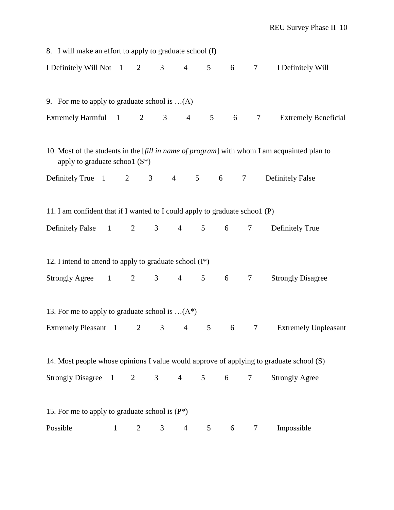| 8. I will make an effort to apply to graduate school (I)                                |              |                |                |                |                 |                 |        |                                                                                             |
|-----------------------------------------------------------------------------------------|--------------|----------------|----------------|----------------|-----------------|-----------------|--------|---------------------------------------------------------------------------------------------|
| I Definitely Will Not 1 2                                                               |              |                | 3 <sup>7</sup> | $\overline{4}$ |                 | 5 6 7           |        | I Definitely Will                                                                           |
| 9. For me to apply to graduate school is $(A)$                                          |              |                |                |                |                 |                 |        |                                                                                             |
| Extremely Harmful 1 2                                                                   |              |                |                | $3 \t 4$       |                 | 5 <sup>5</sup>  | 6 7    | <b>Extremely Beneficial</b>                                                                 |
| apply to graduate school $(S^*)$                                                        |              |                |                |                |                 |                 |        | 10. Most of the students in the [fill in name of program] with whom I am acquainted plan to |
| Definitely True $1 \t 2$                                                                |              |                | $3 \t 4$       |                | 5 <sup>5</sup>  | $6\overline{6}$ | $\tau$ | <b>Definitely False</b>                                                                     |
| 11. I am confident that if I wanted to I could apply to graduate school (P)             |              |                |                |                |                 |                 |        |                                                                                             |
| Definitely False 1 2 3                                                                  |              |                |                |                | $4\quad 5$      | $6\overline{6}$ | 7      | Definitely True                                                                             |
| 12. I intend to attend to apply to graduate school $(I^*)$                              |              |                |                |                |                 |                 |        |                                                                                             |
| $Strongly \, \text{Agree}$ 1 2                                                          |              |                | 3 <sup>7</sup> | $\overline{4}$ | 5 <sup>5</sup>  |                 | 6 7    | <b>Strongly Disagree</b>                                                                    |
| 13. For me to apply to graduate school is $(A^*)$                                       |              |                |                |                |                 |                 |        |                                                                                             |
| Extremely Pleasant 1                                                                    |              | $\overline{2}$ | 3 <sup>7</sup> | $\overline{4}$ | $5\overline{)}$ | 6               | $\tau$ | <b>Extremely Unpleasant</b>                                                                 |
| 14. Most people whose opinions I value would approve of applying to graduate school (S) |              |                |                |                |                 |                 |        |                                                                                             |
| Strongly Disagree 1                                                                     |              | 2              | 3 <sup>7</sup> | $\overline{4}$ | $\mathfrak{S}$  | 6               | 7      | <b>Strongly Agree</b>                                                                       |
| 15. For me to apply to graduate school is $(P^*)$                                       |              |                |                |                |                 |                 |        |                                                                                             |
| Possible                                                                                | $\mathbf{1}$ | 2              | 3              | $\overline{4}$ | 5               | 6               | 7      | Impossible                                                                                  |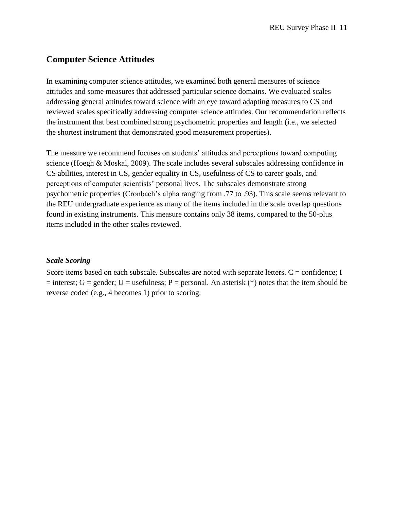### **Computer Science Attitudes**

In examining computer science attitudes, we examined both general measures of science attitudes and some measures that addressed particular science domains. We evaluated scales addressing general attitudes toward science with an eye toward adapting measures to CS and reviewed scales specifically addressing computer science attitudes. Our recommendation reflects the instrument that best combined strong psychometric properties and length (i.e., we selected the shortest instrument that demonstrated good measurement properties).

The measure we recommend focuses on students' attitudes and perceptions toward computing science (Hoegh & Moskal, 2009). The scale includes several subscales addressing confidence in CS abilities, interest in CS, gender equality in CS, usefulness of CS to career goals, and perceptions of computer scientists' personal lives. The subscales demonstrate strong psychometric properties (Cronbach's alpha ranging from .77 to .93). This scale seems relevant to the REU undergraduate experience as many of the items included in the scale overlap questions found in existing instruments. This measure contains only 38 items, compared to the 50-plus items included in the other scales reviewed.

#### *Scale Scoring*

Score items based on each subscale. Subscales are noted with separate letters.  $C =$  confidence; I = interest; G = gender; U = usefulness; P = personal. An asterisk (\*) notes that the item should be reverse coded (e.g., 4 becomes 1) prior to scoring.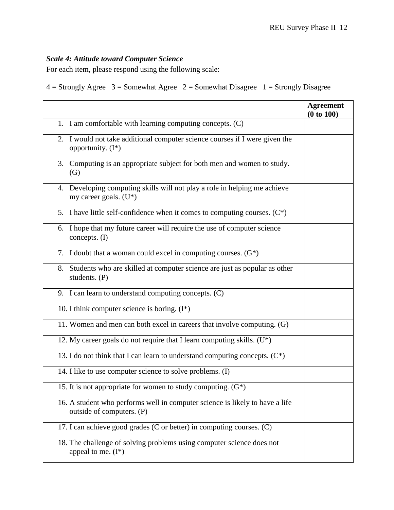### *Scale 4: Attitude toward Computer Science*

For each item, please respond using the following scale:

 $4 =$  Strongly Agree  $3 =$  Somewhat Agree  $2 =$  Somewhat Disagree  $1 =$  Strongly Disagree

|                                                                                                           | <b>Agreement</b><br>(0 to 100) |
|-----------------------------------------------------------------------------------------------------------|--------------------------------|
| 1. I am comfortable with learning computing concepts. (C)                                                 |                                |
| 2. I would not take additional computer science courses if I were given the<br>opportunity. $(I^*)$       |                                |
| Computing is an appropriate subject for both men and women to study.<br>3.<br>(G)                         |                                |
| 4. Developing computing skills will not play a role in helping me achieve<br>my career goals. $(U^*)$     |                                |
| 5. I have little self-confidence when it comes to computing courses. $(C^*)$                              |                                |
| I hope that my future career will require the use of computer science<br>6.<br>concepts. (I)              |                                |
| 7. I doubt that a woman could excel in computing courses. $(G^*)$                                         |                                |
| Students who are skilled at computer science are just as popular as other<br>8.<br>students. (P)          |                                |
| 9. I can learn to understand computing concepts. (C)                                                      |                                |
| 10. I think computer science is boring. $(I^*)$                                                           |                                |
| 11. Women and men can both excel in careers that involve computing. (G)                                   |                                |
| 12. My career goals do not require that I learn computing skills. (U*)                                    |                                |
| 13. I do not think that I can learn to understand computing concepts. $(C^*)$                             |                                |
| 14. I like to use computer science to solve problems. (I)                                                 |                                |
| 15. It is not appropriate for women to study computing. $(G^*)$                                           |                                |
| 16. A student who performs well in computer science is likely to have a life<br>outside of computers. (P) |                                |
| 17. I can achieve good grades (C or better) in computing courses. (C)                                     |                                |
| 18. The challenge of solving problems using computer science does not<br>appeal to me. $(I^*)$            |                                |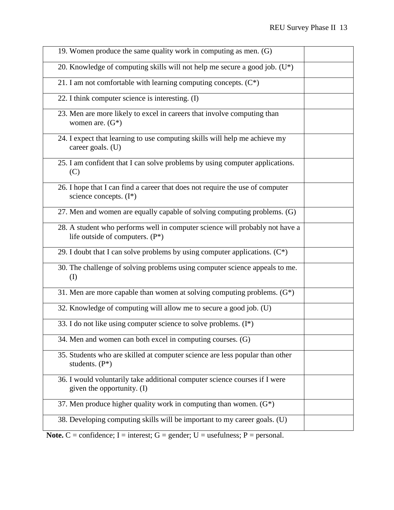| 19. Women produce the same quality work in computing as men. (G)                                                |  |
|-----------------------------------------------------------------------------------------------------------------|--|
| 20. Knowledge of computing skills will not help me secure a good job. $(U^*)$                                   |  |
| 21. I am not comfortable with learning computing concepts. $(C^*)$                                              |  |
| 22. I think computer science is interesting. (I)                                                                |  |
| 23. Men are more likely to excel in careers that involve computing than<br>women are. $(G^*)$                   |  |
| 24. I expect that learning to use computing skills will help me achieve my<br>career goals. (U)                 |  |
| 25. I am confident that I can solve problems by using computer applications.<br>(C)                             |  |
| 26. I hope that I can find a career that does not require the use of computer<br>science concepts. $(I^*)$      |  |
| 27. Men and women are equally capable of solving computing problems. (G)                                        |  |
| 28. A student who performs well in computer science will probably not have a<br>life outside of computers. (P*) |  |
| 29. I doubt that I can solve problems by using computer applications. $(C^*)$                                   |  |
| 30. The challenge of solving problems using computer science appeals to me.<br>(I)                              |  |
| 31. Men are more capable than women at solving computing problems. $(G^*)$                                      |  |
| 32. Knowledge of computing will allow me to secure a good job. (U)                                              |  |
| 33. I do not like using computer science to solve problems. $(I^*)$                                             |  |
| 34. Men and women can both excel in computing courses. (G)                                                      |  |
| 35. Students who are skilled at computer science are less popular than other<br>students. (P*)                  |  |
| 36. I would voluntarily take additional computer science courses if I were<br>given the opportunity. (I)        |  |
| 37. Men produce higher quality work in computing than women. $(G^*)$                                            |  |
| 38. Developing computing skills will be important to my career goals. (U)                                       |  |

**Note.**  $C =$  confidence;  $I =$  interest;  $G =$  gender;  $U =$  usefulness;  $P =$  personal.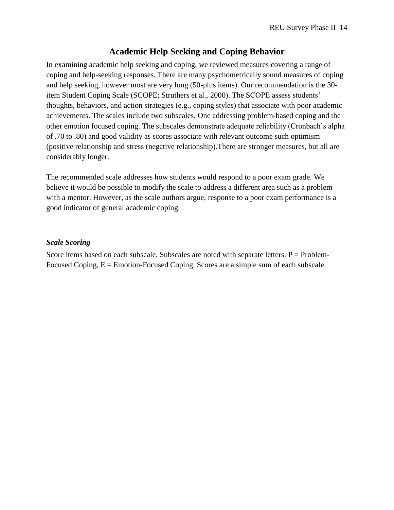### **Academic Help Seeking and Coping Behavior**

In examining academic help seeking and coping, we reviewed measures covering a range of coping and help-seeking responses. There are many psychometrically sound measures of coping and help seeking, however most are very long (50-plus items). Our recommendation is the 30 item Student Coping Scale (SCOPE; Struthers et al., 2000). The SCOPE assess students' thoughts, behaviors, and action strategies (e.g., coping styles) that associate with poor academic achievements. The scales include two subscales. One addressing problem-based coping and the other emotion focused coping. The subscales demonstrate adequate reliability (Cronbach's alpha of .70 to .80) and good validity as scores associate with relevant outcome such optimism (positive relationship and stress (negative relationship).There are stronger measures, but all are considerably longer.

The recommended scale addresses how students would respond to a poor exam grade. We believe it would be possible to modify the scale to address a different area such as a problem with a mentor. However, as the scale authors argue, response to a poor exam performance is a good indicator of general academic coping.

#### *Scale Scoring*

Score items based on each subscale. Subscales are noted with separate letters.  $P = Problem-$ Focused Coping,  $E =$  Emotion-Focused Coping. Scores are a simple sum of each subscale.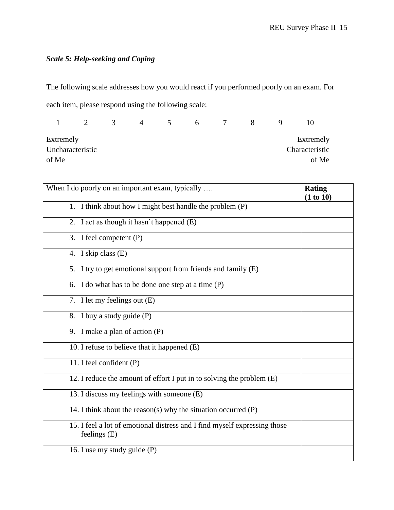## *Scale 5: Help-seeking and Coping*

The following scale addresses how you would react if you performed poorly on an exam. For each item, please respond using the following scale:

|           | $\mathcal{D}$    | 3 | 4 | $\mathcal{L}$ | 6 <sup>1</sup> | $\overline{7}$ | $\mathsf{X}$ | $\mathbf{I}(\mathbf{I})$ |
|-----------|------------------|---|---|---------------|----------------|----------------|--------------|--------------------------|
| Extremely |                  |   |   |               |                |                |              | Extremely                |
|           | Uncharacteristic |   |   |               |                |                |              | Characteristic           |
| of Me     |                  |   |   |               |                |                |              | of Me                    |

| When I do poorly on an important exam, typically                                            | <b>Rating</b><br>(1 to 10) |
|---------------------------------------------------------------------------------------------|----------------------------|
| 1. I think about how I might best handle the problem (P)                                    |                            |
| 2. I act as though it hasn't happened (E)                                                   |                            |
| 3. I feel competent (P)                                                                     |                            |
| 4. I skip class (E)                                                                         |                            |
| 5. I try to get emotional support from friends and family (E)                               |                            |
| 6. I do what has to be done one step at a time (P)                                          |                            |
| 7. I let my feelings out (E)                                                                |                            |
| 8. I buy a study guide (P)                                                                  |                            |
| 9. I make a plan of action $(P)$                                                            |                            |
| 10. I refuse to believe that it happened (E)                                                |                            |
| 11. I feel confident (P)                                                                    |                            |
| 12. I reduce the amount of effort I put in to solving the problem (E)                       |                            |
| 13. I discuss my feelings with someone (E)                                                  |                            |
| 14. I think about the reason(s) why the situation occurred $(P)$                            |                            |
| 15. I feel a lot of emotional distress and I find myself expressing those<br>feelings $(E)$ |                            |
| 16. I use my study guide (P)                                                                |                            |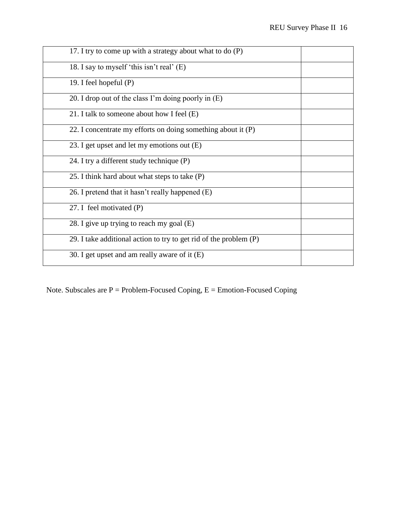| 17. I try to come up with a strategy about what to do (P)         |  |
|-------------------------------------------------------------------|--|
| 18. I say to myself 'this isn't real' (E)                         |  |
| 19. I feel hopeful $(P)$                                          |  |
| 20. I drop out of the class I'm doing poorly in $(E)$             |  |
| 21. I talk to someone about how I feel (E)                        |  |
| 22. I concentrate my efforts on doing something about it (P)      |  |
| 23. I get upset and let my emotions out (E)                       |  |
| 24. I try a different study technique (P)                         |  |
| 25. I think hard about what steps to take (P)                     |  |
| 26. I pretend that it hasn't really happened (E)                  |  |
| 27. I feel motivated (P)                                          |  |
| 28. I give up trying to reach my goal (E)                         |  |
| 29. I take additional action to try to get rid of the problem (P) |  |
| 30. I get upset and am really aware of it (E)                     |  |

Note. Subscales are  $P =$  Problem-Focused Coping,  $E =$  Emotion-Focused Coping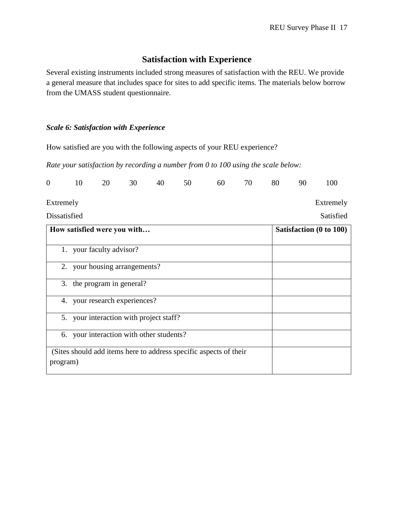## **Satisfaction with Experience**

Several existing instruments included strong measures of satisfaction with the REU. We provide a general measure that includes space for sites to add specific items. The materials below borrow from the UMASS student questionnaire.

#### *Scale 6: Satisfaction with Experience*

How satisfied are you with the following aspects of your REU experience?

*Rate your satisfaction by recording a number from 0 to 100 using the scale below:*

| 0 10 20 30 40 50 60 70 80 90 100 |  |
|----------------------------------|--|
|----------------------------------|--|

Extremely

Dissatisfied

Extremely Satisfied

| How satisfied were you with                                                   | Satisfaction (0 to 100) |
|-------------------------------------------------------------------------------|-------------------------|
| 1. your faculty advisor?                                                      |                         |
| 2. your housing arrangements?                                                 |                         |
| 3. the program in general?                                                    |                         |
| 4. your research experiences?                                                 |                         |
| 5. your interaction with project staff?                                       |                         |
| 6. your interaction with other students?                                      |                         |
| (Sites should add items here to address specific aspects of their<br>program) |                         |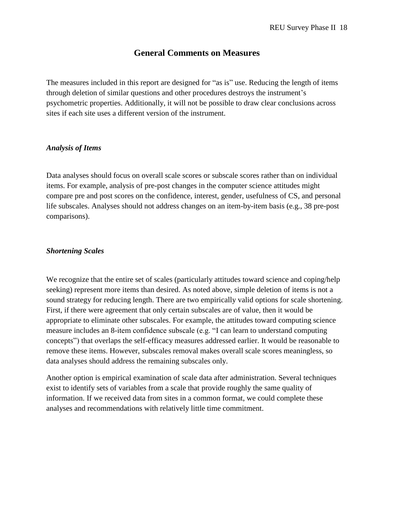### **General Comments on Measures**

The measures included in this report are designed for "as is" use. Reducing the length of items through deletion of similar questions and other procedures destroys the instrument's psychometric properties. Additionally, it will not be possible to draw clear conclusions across sites if each site uses a different version of the instrument.

#### *Analysis of Items*

Data analyses should focus on overall scale scores or subscale scores rather than on individual items. For example, analysis of pre-post changes in the computer science attitudes might compare pre and post scores on the confidence, interest, gender, usefulness of CS, and personal life subscales. Analyses should not address changes on an item-by-item basis (e.g., 38 pre-post comparisons).

#### *Shortening Scales*

We recognize that the entire set of scales (particularly attitudes toward science and coping/help seeking) represent more items than desired. As noted above, simple deletion of items is not a sound strategy for reducing length. There are two empirically valid options for scale shortening. First, if there were agreement that only certain subscales are of value, then it would be appropriate to eliminate other subscales. For example, the attitudes toward computing science measure includes an 8-item confidence subscale (e.g. "I can learn to understand computing concepts") that overlaps the self-efficacy measures addressed earlier. It would be reasonable to remove these items. However, subscales removal makes overall scale scores meaningless, so data analyses should address the remaining subscales only.

Another option is empirical examination of scale data after administration. Several techniques exist to identify sets of variables from a scale that provide roughly the same quality of information. If we received data from sites in a common format, we could complete these analyses and recommendations with relatively little time commitment.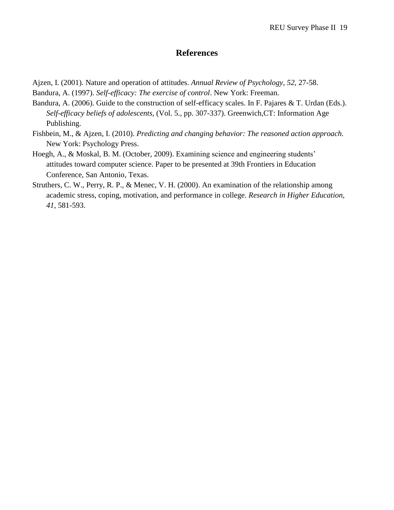### **References**

- Ajzen, I. (2001). Nature and operation of attitudes. *Annual Review of Psychology, 52*, 27-58.
- Bandura, A. (1997). *Self-efficacy: The exercise of control*. New York: Freeman.
- Bandura, A. (2006). Guide to the construction of self-efficacy scales. In F. Pajares & T. Urdan (Eds.). *Self-efficacy beliefs of adolescents*, (Vol. 5., pp. 307-337). Greenwich,CT: Information Age Publishing.
- Fishbein, M., & Ajzen, I. (2010). *Predicting and changing behavior: The reasoned action approach.* New York: Psychology Press.
- Hoegh, A., & Moskal, B. M. (October, 2009). Examining science and engineering students' attitudes toward computer science. Paper to be presented at 39th Frontiers in Education Conference, San Antonio, Texas.
- Struthers, C. W., Perry, R. P., & Menec, V. H. (2000). An examination of the relationship among academic stress, coping, motivation, and performance in college. *Research in Higher Education, 41,* 581-593.